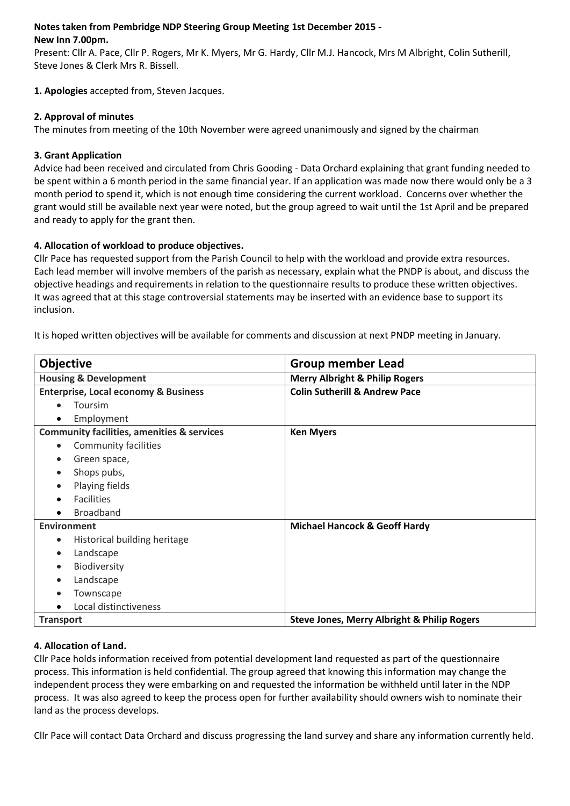#### **Notes taken from Pembridge NDP Steering Group Meeting 1st December 2015 - New Inn 7.00pm.**

Present: Cllr A. Pace, Cllr P. Rogers, Mr K. Myers, Mr G. Hardy, Cllr M.J. Hancock, Mrs M Albright, Colin Sutherill, Steve Jones & Clerk Mrs R. Bissell.

**1. Apologies** accepted from, Steven Jacques.

### **2. Approval of minutes**

The minutes from meeting of the 10th November were agreed unanimously and signed by the chairman

### **3. Grant Application**

Advice had been received and circulated from Chris Gooding - Data Orchard explaining that grant funding needed to be spent within a 6 month period in the same financial year. If an application was made now there would only be a 3 month period to spend it, which is not enough time considering the current workload. Concerns over whether the grant would still be available next year were noted, but the group agreed to wait until the 1st April and be prepared and ready to apply for the grant then.

# **4. Allocation of workload to produce objectives.**

Cllr Pace has requested support from the Parish Council to help with the workload and provide extra resources. Each lead member will involve members of the parish as necessary, explain what the PNDP is about, and discuss the objective headings and requirements in relation to the questionnaire results to produce these written objectives. It was agreed that at this stage controversial statements may be inserted with an evidence base to support its inclusion.

It is hoped written objectives will be available for comments and discussion at next PNDP meeting in January.

| <b>Objective</b>                                      | <b>Group member Lead</b>                               |
|-------------------------------------------------------|--------------------------------------------------------|
| <b>Housing &amp; Development</b>                      | <b>Merry Albright &amp; Philip Rogers</b>              |
| <b>Enterprise, Local economy &amp; Business</b>       | <b>Colin Sutherill &amp; Andrew Pace</b>               |
| Toursim                                               |                                                        |
| Employment                                            |                                                        |
| <b>Community facilities, amenities &amp; services</b> | <b>Ken Myers</b>                                       |
| Community facilities                                  |                                                        |
| Green space,                                          |                                                        |
| Shops pubs,                                           |                                                        |
| Playing fields                                        |                                                        |
| <b>Facilities</b>                                     |                                                        |
| <b>Broadband</b>                                      |                                                        |
| <b>Environment</b>                                    | <b>Michael Hancock &amp; Geoff Hardy</b>               |
| Historical building heritage                          |                                                        |
| Landscape<br>$\bullet$                                |                                                        |
| Biodiversity                                          |                                                        |
| Landscape                                             |                                                        |
| Townscape                                             |                                                        |
| Local distinctiveness                                 |                                                        |
| <b>Transport</b>                                      | <b>Steve Jones, Merry Albright &amp; Philip Rogers</b> |

# **4. Allocation of Land.**

Cllr Pace holds information received from potential development land requested as part of the questionnaire process. This information is held confidential. The group agreed that knowing this information may change the independent process they were embarking on and requested the information be withheld until later in the NDP process. It was also agreed to keep the process open for further availability should owners wish to nominate their land as the process develops.

Cllr Pace will contact Data Orchard and discuss progressing the land survey and share any information currently held.